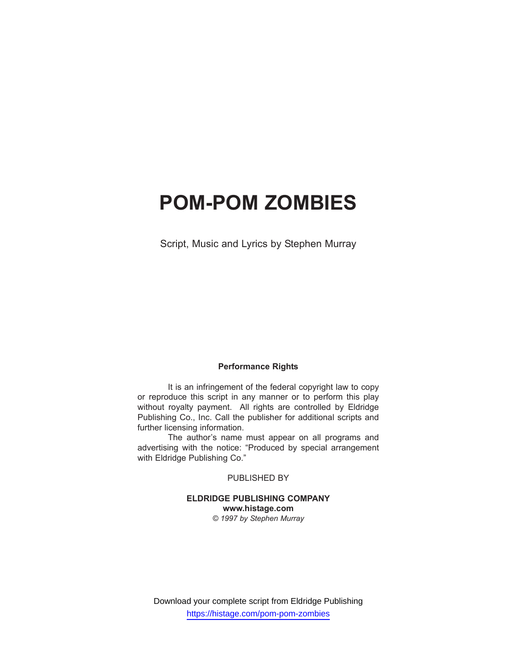Script, Music and Lyrics by Stephen Murray

### **Performance Rights**

It is an infringement of the federal copyright law to copy or reproduce this script in any manner or to perform this play without royalty payment. All rights are controlled by Eldridge Publishing Co., Inc. Call the publisher for additional scripts and further licensing information.

The author's name must appear on all programs and advertising with the notice: "Produced by special arrangement with Eldridge Publishing Co."

#### PUBLISHED BY

#### **ELDRIDGE PUBLISHING COMPANY www.histage.com** *© 1997 by Stephen Murray*

Download your complete script from Eldridge Publishing https://histage.com/pom-pom-zombies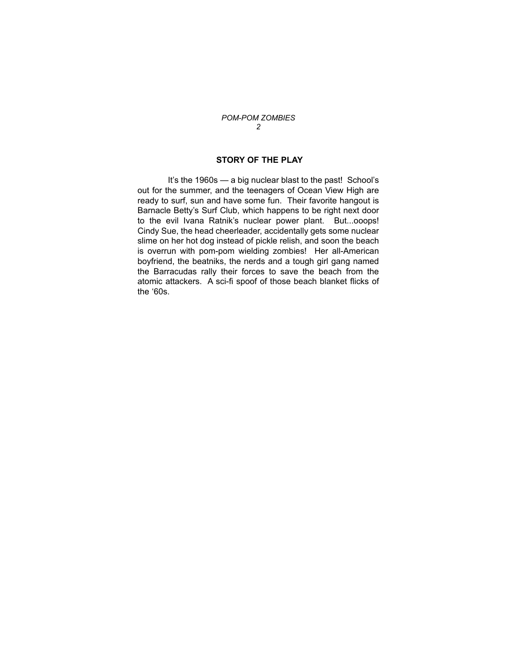## **STORY OF THE PLAY**

It's the 1960s — a big nuclear blast to the past! School's out for the summer, and the teenagers of Ocean View High are ready to surf, sun and have some fun. Their favorite hangout is Barnacle Betty's Surf Club, which happens to be right next door to the evil Ivana Ratnik's nuclear power plant. But...ooops! Cindy Sue, the head cheerleader, accidentally gets some nuclear slime on her hot dog instead of pickle relish, and soon the beach is overrun with pom-pom wielding zombies! Her all-American boyfriend, the beatniks, the nerds and a tough girl gang named the Barracudas rally their forces to save the beach from the atomic attackers. A sci-fi spoof of those beach blanket flicks of the '60s.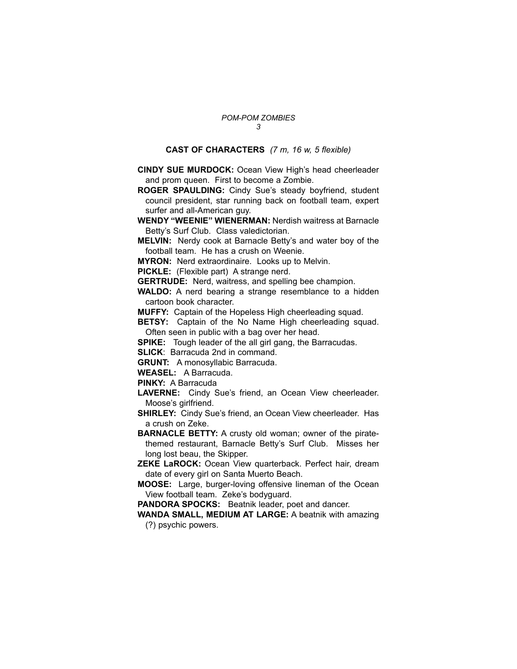#### **CAST OF CHARACTERS** *(7 m, 16 w, 5 flexible)*

- **CINDY SUE MURDOCK:** Ocean View High's head cheerleader and prom queen. First to become a Zombie.
- **ROGER SPAULDING:** Cindy Sue's steady boyfriend, student council president, star running back on football team, expert surfer and all-American guy.
- **WENDY "WEENIE" WIENERMAN:** Nerdish waitress at Barnacle Betty's Surf Club. Class valedictorian.
- **MELVIN:** Nerdy cook at Barnacle Betty's and water boy of the football team. He has a crush on Weenie.
- **MYRON:** Nerd extraordinaire. Looks up to Melvin.
- **PICKLE:** (Flexible part) A strange nerd.
- **GERTRUDE:** Nerd, waitress, and spelling bee champion.
- **WALDO:** A nerd bearing a strange resemblance to a hidden cartoon book character.
- **MUFFY:** Captain of the Hopeless High cheerleading squad.
- **BETSY:** Captain of the No Name High cheerleading squad. Often seen in public with a bag over her head.
- **SPIKE:** Tough leader of the all girl gang, the Barracudas.
- **SLICK**: Barracuda 2nd in command.
- **GRUNT:** A monosyllabic Barracuda.
- **WEASEL:** A Barracuda.
- **PINKY:** A Barracuda
- **LAVERNE:** Cindy Sue's friend, an Ocean View cheerleader. Moose's girlfriend.
- **SHIRLEY:** Cindy Sue's friend, an Ocean View cheerleader. Has a crush on Zeke.
- **BARNACLE BETTY:** A crusty old woman; owner of the piratethemed restaurant, Barnacle Betty's Surf Club. Misses her long lost beau, the Skipper.
- **ZEKE LaROCK:** Ocean View quarterback. Perfect hair, dream date of every girl on Santa Muerto Beach.
- **MOOSE:** Large, burger-loving offensive lineman of the Ocean View football team. Zeke's bodyguard.
- **PANDORA SPOCKS:** Beatnik leader, poet and dancer.
- **WANDA SMALL, MEDIUM AT LARGE:** A beatnik with amazing (?) psychic powers.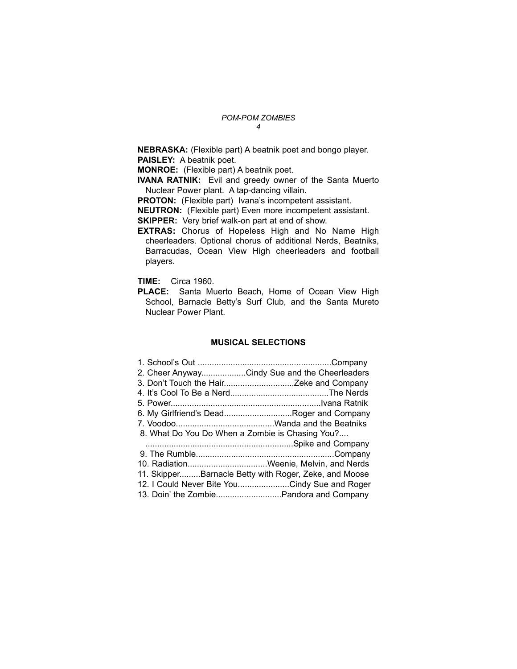**NEBRASKA:** (Flexible part) A beatnik poet and bongo player. **PAISLEY:** A beatnik poet.

**MONROE:** (Flexible part) A beatnik poet.

**IVANA RATNIK:** Evil and greedy owner of the Santa Muerto Nuclear Power plant. A tap-dancing villain.

**PROTON:** (Flexible part) Ivana's incompetent assistant.

**NEUTRON:** (Flexible part) Even more incompetent assistant.

**SKIPPER:** Very brief walk-on part at end of show.

**EXTRAS:** Chorus of Hopeless High and No Name High cheerleaders. Optional chorus of additional Nerds, Beatniks, Barracudas, Ocean View High cheerleaders and football players.

**TIME:** Circa 1960.

**PLACE:** Santa Muerto Beach, Home of Ocean View High School, Barnacle Betty's Surf Club, and the Santa Mureto Nuclear Power Plant.

#### **MUSICAL SELECTIONS**

| 2. Cheer AnywayCindy Sue and the Cheerleaders         |  |
|-------------------------------------------------------|--|
|                                                       |  |
|                                                       |  |
|                                                       |  |
| 6. My Girlfriend's DeadRoger and Company              |  |
|                                                       |  |
| 8. What Do You Do When a Zombie is Chasing You?       |  |
|                                                       |  |
|                                                       |  |
|                                                       |  |
| 11. SkipperBarnacle Betty with Roger, Zeke, and Moose |  |
| 12. I Could Never Bite YouCindy Sue and Roger         |  |
| 13. Doin' the ZombiePandora and Company               |  |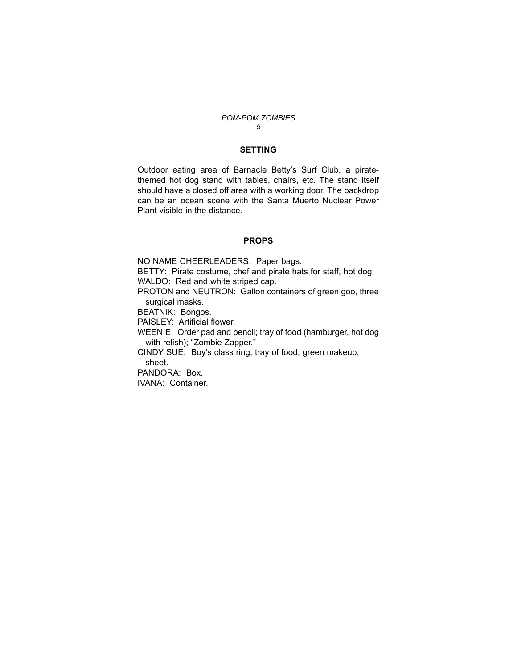#### **SETTING**

Outdoor eating area of Barnacle Betty's Surf Club, a piratethemed hot dog stand with tables, chairs, etc. The stand itself should have a closed off area with a working door. The backdrop can be an ocean scene with the Santa Muerto Nuclear Power Plant visible in the distance.

#### **PROPS**

NO NAME CHEERLEADERS: Paper bags. BETTY: Pirate costume, chef and pirate hats for staff, hot dog. WALDO: Red and white striped cap. PROTON and NEUTRON: Gallon containers of green goo, three surgical masks. BEATNIK: Bongos. PAISLEY: Artificial flower. WEENIE: Order pad and pencil; tray of food (hamburger, hot dog with relish); "Zombie Zapper." CINDY SUE: Boy's class ring, tray of food, green makeup, sheet. PANDORA: Box. IVANA: Container.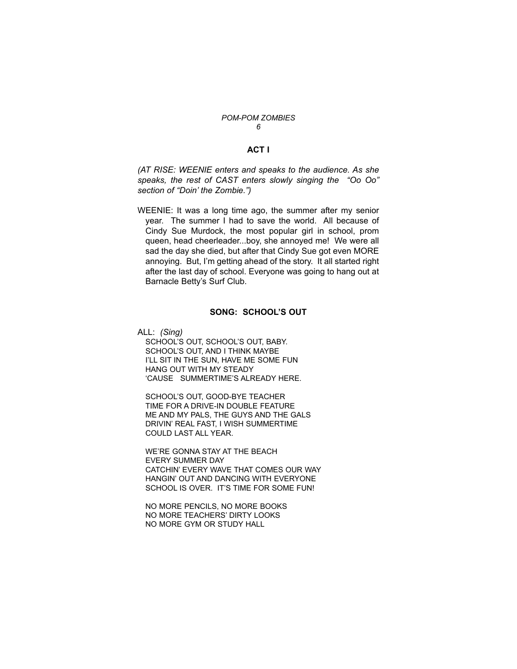#### **ACT I**

*(AT RISE: WEENIE enters and speaks to the audience. As she speaks, the rest of CAST enters slowly singing the "Oo Oo" section of "Doin' the Zombie.")*

WEENIE: It was a long time ago, the summer after my senior year. The summer I had to save the world. All because of Cindy Sue Murdock, the most popular girl in school, prom queen, head cheerleader...boy, she annoyed me! We were all sad the day she died, but after that Cindy Sue got even MORE annoying. But, I'm getting ahead of the story. It all started right after the last day of school. Everyone was going to hang out at Barnacle Betty's Surf Club.

#### **SONG: SCHOOL'S OUT**

ALL: *(Sing)* SCHOOL'S OUT, SCHOOL'S OUT, BABY. SCHOOL'S OUT, AND I THINK MAYBE I'LL SIT IN THE SUN, HAVE ME SOME FUN HANG OUT WITH MY STEADY 'CAUSE SUMMERTIME'S ALREADY HERE.

SCHOOL'S OUT, GOOD-BYE TEACHER TIME FOR A DRIVE-IN DOUBLE FEATURE ME AND MY PALS, THE GUYS AND THE GALS DRIVIN' REAL FAST, I WISH SUMMERTIME COULD LAST ALL YEAR.

WE'RE GONNA STAY AT THE BEACH EVERY SUMMER DAY CATCHIN' EVERY WAVE THAT COMES OUR WAY HANGIN' OUT AND DANCING WITH EVERYONE SCHOOL IS OVER. IT'S TIME FOR SOME FUN!

NO MORE PENCILS, NO MORE BOOKS NO MORE TEACHERS' DIRTY LOOKS NO MORE GYM OR STUDY HALL